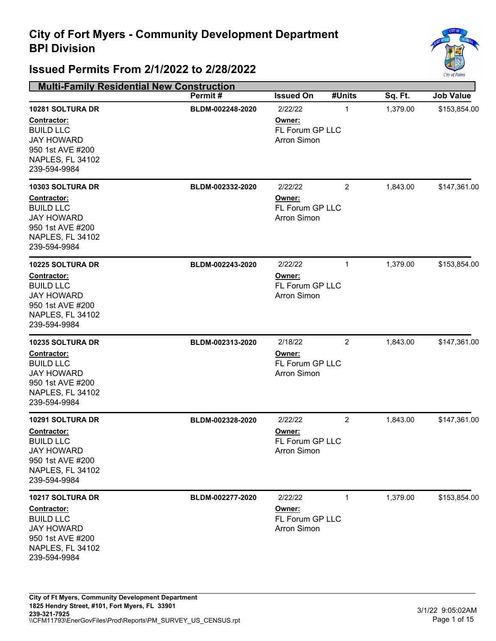

| <b>Multi-Family Residential New Construction</b>                                                                                                     |                                      |                                                                       |                     |                      |                              |
|------------------------------------------------------------------------------------------------------------------------------------------------------|--------------------------------------|-----------------------------------------------------------------------|---------------------|----------------------|------------------------------|
|                                                                                                                                                      | Permit#                              | <b>Issued On</b>                                                      | #Units              | Sq. Ft.              | <b>Job Value</b>             |
| 10281 SOLTURA DR<br>Contractor:<br><b>BUILD LLC</b><br><b>JAY HOWARD</b><br>950 1st AVE #200<br>NAPLES, FL 34102<br>239-594-9984<br>10303 SOLTURA DR | BLDM-002248-2020<br>BLDM-002332-2020 | 2/22/22<br>Owner:<br>FL Forum GP LLC<br><b>Arron Simon</b><br>2/22/22 | 1<br>$\overline{2}$ | 1,379.00<br>1,843.00 | \$153,854.00<br>\$147,361.00 |
| Contractor:<br><b>BUILD LLC</b><br><b>JAY HOWARD</b><br>950 1st AVE #200<br>NAPLES, FL 34102<br>239-594-9984                                         |                                      | Owner:<br><b>FL Forum GP LLC</b><br><b>Arron Simon</b>                |                     |                      |                              |
| 10225 SOLTURA DR<br>Contractor:<br><b>BUILD LLC</b><br><b>JAY HOWARD</b><br>950 1st AVE #200<br>NAPLES, FL 34102<br>239-594-9984                     | BLDM-002243-2020                     | 2/22/22<br>Owner:<br>FL Forum GP LLC<br><b>Arron Simon</b>            | $\mathbf{1}$        | 1,379.00             | \$153,854.00                 |
| 10235 SOLTURA DR<br>Contractor:<br><b>BUILD LLC</b><br><b>JAY HOWARD</b><br>950 1st AVE #200<br>NAPLES, FL 34102<br>239-594-9984                     | BLDM-002313-2020                     | 2/18/22<br>Owner:<br>FL Forum GP LLC<br><b>Arron Simon</b>            | 2                   | 1,843.00             | \$147,361.00                 |
| 10291 SOLTURA DR<br>Contractor:<br><b>BUILD LLC</b><br><b>JAY HOWARD</b><br>950 1st AVE #200<br>NAPLES, FL 34102<br>239-594-9984                     | BLDM-002328-2020                     | 2/22/22<br>Owner:<br>FL Forum GP LLC<br><b>Arron Simon</b>            | $\overline{2}$      | 1,843.00             | \$147,361.00                 |
| 10217 SOLTURA DR<br><b>Contractor:</b><br><b>BUILD LLC</b><br><b>JAY HOWARD</b><br>950 1st AVE #200<br><b>NAPLES, FL 34102</b><br>239-594-9984       | BLDM-002277-2020                     | 2/22/22<br>Owner:<br>FL Forum GP LLC<br><b>Arron Simon</b>            | 1                   | 1,379.00             | \$153,854.00                 |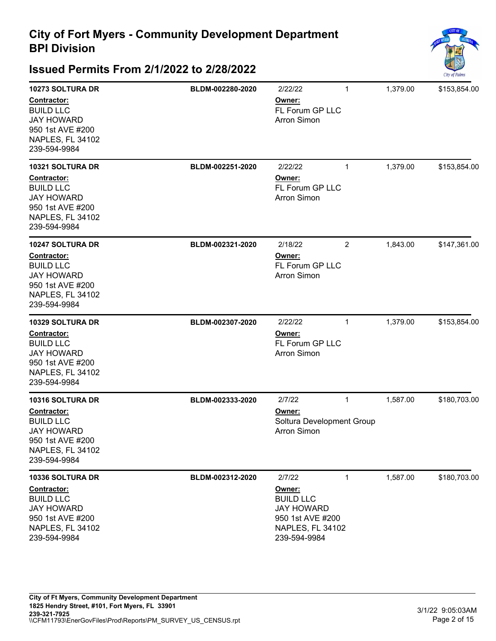

| 10273 SOLTURA DR<br>Contractor:<br><b>BUILD LLC</b><br><b>JAY HOWARD</b><br>950 1st AVE #200<br>NAPLES, FL 34102<br>239-594-9984        | BLDM-002280-2020 | 2/22/22<br>Owner:<br>FL Forum GP LLC<br><b>Arron Simon</b>                                                        | $\mathbf{1}$   | 1,379.00 | \$153,854.00 |
|-----------------------------------------------------------------------------------------------------------------------------------------|------------------|-------------------------------------------------------------------------------------------------------------------|----------------|----------|--------------|
| <b>10321 SOLTURA DR</b><br>Contractor:<br><b>BUILD LLC</b><br><b>JAY HOWARD</b><br>950 1st AVE #200<br>NAPLES, FL 34102<br>239-594-9984 | BLDM-002251-2020 | 2/22/22<br>Owner:<br>FL Forum GP LLC<br><b>Arron Simon</b>                                                        | $\mathbf{1}$   | 1,379.00 | \$153,854.00 |
| <b>10247 SOLTURA DR</b><br>Contractor:<br><b>BUILD LLC</b><br><b>JAY HOWARD</b><br>950 1st AVE #200<br>NAPLES, FL 34102<br>239-594-9984 | BLDM-002321-2020 | 2/18/22<br>Owner:<br>FL Forum GP LLC<br><b>Arron Simon</b>                                                        | $\overline{2}$ | 1,843.00 | \$147,361.00 |
| <b>10329 SOLTURA DR</b><br>Contractor:<br><b>BUILD LLC</b><br><b>JAY HOWARD</b><br>950 1st AVE #200<br>NAPLES, FL 34102<br>239-594-9984 | BLDM-002307-2020 | 2/22/22<br>Owner:<br>FL Forum GP LLC<br><b>Arron Simon</b>                                                        | $\mathbf{1}$   | 1,379.00 | \$153,854.00 |
| 10316 SOLTURA DR<br>Contractor:<br><b>BUILD LLC</b><br><b>JAY HOWARD</b><br>950 1st AVE #200<br>NAPLES, FL 34102<br>239-594-9984        | BLDM-002333-2020 | 2/7/22<br>Owner:<br>Soltura Development Group<br><b>Arron Simon</b>                                               | $\mathbf{1}$   | 1,587.00 | \$180,703.00 |
| 10336 SOLTURA DR<br><b>Contractor:</b><br><b>BUILD LLC</b><br><b>JAY HOWARD</b><br>950 1st AVE #200<br>NAPLES, FL 34102<br>239-594-9984 | BLDM-002312-2020 | 2/7/22<br>Owner:<br><b>BUILD LLC</b><br><b>JAY HOWARD</b><br>950 1st AVE #200<br>NAPLES, FL 34102<br>239-594-9984 | $\mathbf{1}$   | 1,587.00 | \$180,703.00 |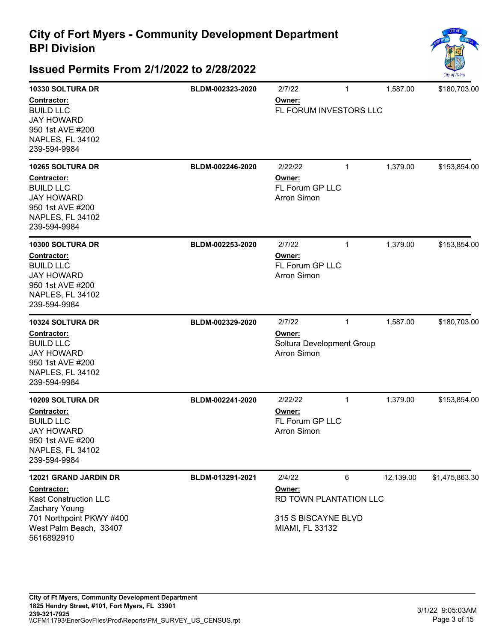

| 10330 SOLTURA DR<br>Contractor:<br><b>BUILD LLC</b><br><b>JAY HOWARD</b><br>950 1st AVE #200<br>NAPLES, FL 34102<br>239-594-9984                          | BLDM-002323-2020 | 2/7/22<br>Owner:<br>FL FORUM INVESTORS LLC                                           | 1            | 1,587.00  | \$180,703.00   |
|-----------------------------------------------------------------------------------------------------------------------------------------------------------|------------------|--------------------------------------------------------------------------------------|--------------|-----------|----------------|
| <b>10265 SOLTURA DR</b><br>Contractor:<br><b>BUILD LLC</b><br><b>JAY HOWARD</b><br>950 1st AVE #200<br>NAPLES, FL 34102<br>239-594-9984                   | BLDM-002246-2020 | 2/22/22<br>Owner:<br>FL Forum GP LLC<br><b>Arron Simon</b>                           | $\mathbf{1}$ | 1,379.00  | \$153,854.00   |
| 10300 SOLTURA DR<br>Contractor:<br><b>BUILD LLC</b><br><b>JAY HOWARD</b><br>950 1st AVE #200<br><b>NAPLES, FL 34102</b><br>239-594-9984                   | BLDM-002253-2020 | 2/7/22<br>Owner:<br>FL Forum GP LLC<br><b>Arron Simon</b>                            | $\mathbf{1}$ | 1,379.00  | \$153,854.00   |
| 10324 SOLTURA DR<br>Contractor:<br><b>BUILD LLC</b><br><b>JAY HOWARD</b><br>950 1st AVE #200<br>NAPLES, FL 34102<br>239-594-9984                          | BLDM-002329-2020 | 2/7/22<br>Owner:<br>Soltura Development Group<br><b>Arron Simon</b>                  | $\mathbf{1}$ | 1,587.00  | \$180,703.00   |
| 10209 SOLTURA DR<br><b>Contractor:</b><br><b>BUILD LLC</b><br><b>JAY HOWARD</b><br>950 1st AVE #200<br>NAPLES, FL 34102<br>239-594-9984                   | BLDM-002241-2020 | 2/22/22<br>Owner:<br>FL Forum GP LLC<br><b>Arron Simon</b>                           | $\mathbf{1}$ | 1,379.00  | \$153,854.00   |
| 12021 GRAND JARDIN DR<br><b>Contractor:</b><br>Kast Construction LLC<br>Zachary Young<br>701 Northpoint PKWY #400<br>West Palm Beach, 33407<br>5616892910 | BLDM-013291-2021 | 2/4/22<br>Owner:<br>RD TOWN PLANTATION LLC<br>315 S BISCAYNE BLVD<br>MIAMI, FL 33132 | 6            | 12,139.00 | \$1,475,863.30 |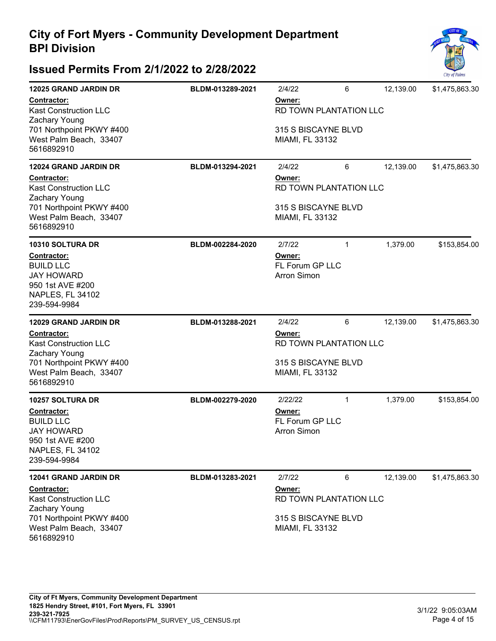

| <b>12025 GRAND JARDIN DR</b>                                                                                 | BLDM-013289-2021 | 2/4/22                                          | 6                           | 12,139.00 | \$1,475,863.30 |
|--------------------------------------------------------------------------------------------------------------|------------------|-------------------------------------------------|-----------------------------|-----------|----------------|
| Contractor:<br><b>Kast Construction LLC</b><br>Zachary Young                                                 |                  | Owner:<br>RD TOWN PLANTATION LLC                |                             |           |                |
| 701 Northpoint PKWY #400<br>West Palm Beach, 33407<br>5616892910                                             |                  | 315 S BISCAYNE BLVD<br>MIAMI, FL 33132          |                             |           |                |
| 12024 GRAND JARDIN DR                                                                                        | BLDM-013294-2021 | 2/4/22                                          | 6                           | 12,139.00 | \$1,475,863.30 |
| <b>Contractor:</b><br><b>Kast Construction LLC</b><br>Zachary Young                                          |                  | Owner:                                          | RD TOWN PLANTATION LLC      |           |                |
| 701 Northpoint PKWY #400<br>West Palm Beach, 33407<br>5616892910                                             |                  | 315 S BISCAYNE BLVD<br>MIAMI, FL 33132          |                             |           |                |
| 10310 SOLTURA DR                                                                                             | BLDM-002284-2020 | 2/7/22                                          | 1                           | 1,379.00  | \$153,854.00   |
| <b>Contractor:</b><br><b>BUILD LLC</b><br><b>JAY HOWARD</b><br>950 1st AVE #200<br>NAPLES, FL 34102          |                  | Owner:<br>FL Forum GP LLC<br><b>Arron Simon</b> |                             |           |                |
| 239-594-9984                                                                                                 |                  |                                                 |                             |           |                |
| <b>12029 GRAND JARDIN DR</b>                                                                                 | BLDM-013288-2021 | 2/4/22                                          | 6                           | 12,139.00 | \$1,475,863.30 |
| <b>Contractor:</b><br><b>Kast Construction LLC</b><br><b>Zachary Young</b>                                   |                  | Owner:<br>RD TOWN PLANTATION LLC                |                             |           |                |
| 701 Northpoint PKWY #400<br>West Palm Beach, 33407<br>5616892910                                             |                  | 315 S BISCAYNE BLVD<br>MIAMI, FL 33132          |                             |           |                |
| <b>10257 SOLTURA DR</b>                                                                                      | BLDM-002279-2020 | 2/22/22                                         | 1                           | 1,379.00  | \$153,854.00   |
| Contractor:<br><b>BUILD LLC</b><br><b>JAY HOWARD</b><br>950 1st AVE #200<br>NAPLES, FL 34102<br>239-594-9984 |                  | Owner:<br>FL Forum GP LLC<br><b>Arron Simon</b> |                             |           |                |
|                                                                                                              |                  |                                                 |                             |           |                |
| 12041 GRAND JARDIN DR<br><b>Contractor:</b><br><b>Kast Construction LLC</b><br>Zachary Young                 | BLDM-013283-2021 | 2/7/22<br>Owner:                                | 6<br>RD TOWN PLANTATION LLC | 12,139.00 | \$1,475,863.30 |
| 701 Northpoint PKWY #400<br>West Palm Beach, 33407<br>5616892910                                             |                  | 315 S BISCAYNE BLVD<br>MIAMI, FL 33132          |                             |           |                |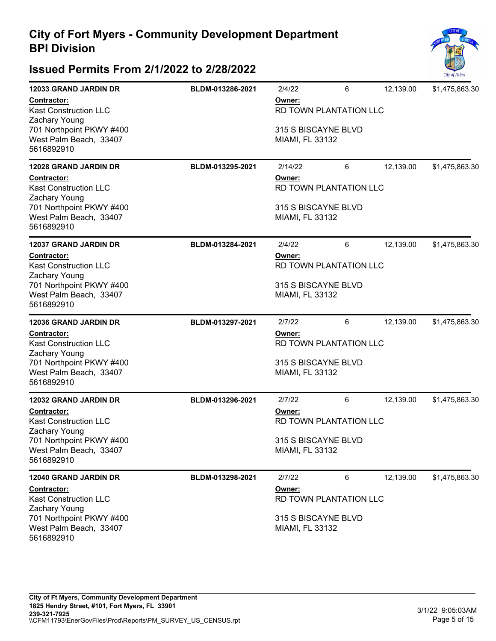

| <b>12033 GRAND JARDIN DR</b>                                                                                       | BLDM-013286-2021                 | 2/4/22                                           | 6                      | 12,139.00 | \$1,475,863.30 |  |
|--------------------------------------------------------------------------------------------------------------------|----------------------------------|--------------------------------------------------|------------------------|-----------|----------------|--|
| Contractor:<br><b>Kast Construction LLC</b><br>Zachary Young<br>701 Northpoint PKWY #400<br>West Palm Beach, 33407 |                                  | Owner:<br>315 S BISCAYNE BLVD<br>MIAMI, FL 33132 | RD TOWN PLANTATION LLC |           |                |  |
| 5616892910                                                                                                         |                                  |                                                  |                        |           |                |  |
| <b>12028 GRAND JARDIN DR</b>                                                                                       | BLDM-013295-2021                 | 2/14/22                                          | 6                      | 12,139.00 | \$1,475,863.30 |  |
| Contractor:<br><b>Kast Construction LLC</b><br>Zachary Young                                                       |                                  | Owner:                                           | RD TOWN PLANTATION LLC |           |                |  |
| 701 Northpoint PKWY #400<br>West Palm Beach, 33407<br>5616892910                                                   |                                  | 315 S BISCAYNE BLVD<br>MIAMI, FL 33132           |                        |           |                |  |
| <b>12037 GRAND JARDIN DR</b>                                                                                       | BLDM-013284-2021                 | 2/4/22                                           | 6                      | 12,139.00 | \$1,475,863.30 |  |
| Contractor:<br><b>Kast Construction LLC</b><br>Zachary Young                                                       | Owner:<br>RD TOWN PLANTATION LLC |                                                  |                        |           |                |  |
| 701 Northpoint PKWY #400<br>West Palm Beach, 33407<br>5616892910                                                   |                                  | 315 S BISCAYNE BLVD<br>MIAMI, FL 33132           |                        |           |                |  |
| <b>12036 GRAND JARDIN DR</b>                                                                                       | BLDM-013297-2021                 | 2/7/22                                           | 6                      | 12,139.00 | \$1,475,863.30 |  |
| Contractor:<br><b>Kast Construction LLC</b><br>Zachary Young                                                       |                                  | Owner:                                           | RD TOWN PLANTATION LLC |           |                |  |
| 701 Northpoint PKWY #400<br>West Palm Beach, 33407<br>5616892910                                                   |                                  | 315 S BISCAYNE BLVD<br>MIAMI, FL 33132           |                        |           |                |  |
| <b>12032 GRAND JARDIN DR</b>                                                                                       | BLDM-013296-2021                 | 2/7/22                                           | 6                      | 12,139.00 | \$1,475,863.30 |  |
| Contractor:<br><b>Kast Construction LLC</b><br>Zachary Young                                                       |                                  | Owner:<br>RD TOWN PLANTATION LLC                 |                        |           |                |  |
| 701 Northpoint PKWY #400<br>West Palm Beach, 33407<br>5616892910                                                   |                                  | 315 S BISCAYNE BLVD<br>MIAMI, FL 33132           |                        |           |                |  |
| <b>12040 GRAND JARDIN DR</b>                                                                                       | BLDM-013298-2021                 | 2/7/22                                           | 6                      | 12,139.00 | \$1,475,863.30 |  |
| Contractor:<br><b>Kast Construction LLC</b><br>Zachary Young                                                       |                                  | Owner:                                           | RD TOWN PLANTATION LLC |           |                |  |
| 701 Northpoint PKWY #400<br>West Palm Beach, 33407<br>5616892910                                                   |                                  | 315 S BISCAYNE BLVD<br>MIAMI, FL 33132           |                        |           |                |  |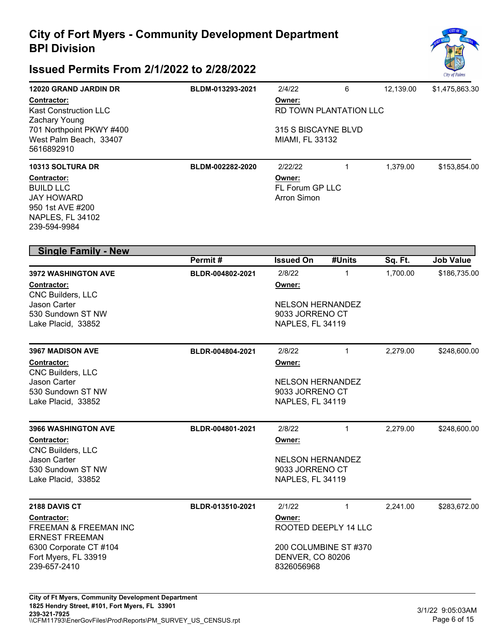

| 12020 GRAND JARDIN DR<br><b>Contractor:</b><br><b>Kast Construction LLC</b><br>Zachary Young<br>701 Northpoint PKWY #400<br>West Palm Beach, 33407<br>5616892910<br>10313 SOLTURA DR<br><b>Contractor:</b><br><b>BUILD LLC</b><br><b>JAY HOWARD</b><br>950 1st AVE #200<br>NAPLES, FL 34102<br>239-594-9984 | BLDM-013293-2021<br>BLDM-002282-2020 | 2/4/22<br>Owner:<br>RD TOWN PLANTATION LLC<br>315 S BISCAYNE BLVD<br>MIAMI, FL 33132<br>2/22/22<br>Owner:<br>FL Forum GP LLC<br><b>Arron Simon</b> | 6<br>$\mathbf{1}$      | 12,139.00<br>1,379.00 | \$1,475,863.30<br>\$153,854.00   |
|-------------------------------------------------------------------------------------------------------------------------------------------------------------------------------------------------------------------------------------------------------------------------------------------------------------|--------------------------------------|----------------------------------------------------------------------------------------------------------------------------------------------------|------------------------|-----------------------|----------------------------------|
| <b>Single Family - New</b>                                                                                                                                                                                                                                                                                  |                                      |                                                                                                                                                    |                        |                       |                                  |
| 3972 WASHINGTON AVE<br>Contractor:<br>CNC Builders, LLC<br>Jason Carter<br>530 Sundown ST NW<br>Lake Placid, 33852                                                                                                                                                                                          | Permit#<br>BLDR-004802-2021          | <b>Issued On</b><br>2/8/22<br>Owner:<br><b>NELSON HERNANDEZ</b><br>9033 JORRENO CT<br>NAPLES, FL 34119                                             | #Units<br>$\mathbf{1}$ | Sq. Ft.<br>1,700.00   | <b>Job Value</b><br>\$186,735.00 |
| <b>3967 MADISON AVE</b><br>Contractor:<br>CNC Builders, LLC<br>Jason Carter<br>530 Sundown ST NW<br>Lake Placid, 33852                                                                                                                                                                                      | BLDR-004804-2021                     | 2/8/22<br>Owner:<br><b>NELSON HERNANDEZ</b><br>9033 JORRENO CT<br>NAPLES, FL 34119                                                                 | $\mathbf{1}$           | 2,279.00              | \$248,600.00                     |
| <b>3966 WASHINGTON AVE</b><br>Contractor:<br><b>CNC Builders, LLC</b><br>Jason Carter<br>530 Sundown ST NW<br>Lake Placid, 33852                                                                                                                                                                            | BLDR-004801-2021                     | 2/8/22<br>Owner:<br><b>NELSON HERNANDEZ</b><br>9033 JORRENO CT<br>NAPLES, FL 34119                                                                 | 1                      | 2,279.00              | \$248,600.00                     |
| 2188 DAVIS CT<br><b>Contractor:</b><br><b>FREEMAN &amp; FREEMAN INC</b><br><b>ERNEST FREEMAN</b><br>6300 Corporate CT #104<br>Fort Myers, FL 33919<br>239-657-2410                                                                                                                                          | BLDR-013510-2021                     | 2/1/22<br>Owner:<br>ROOTED DEEPLY 14 LLC<br>200 COLUMBINE ST #370<br><b>DENVER, CO 80206</b><br>8326056968                                         | $\mathbf{1}$           | 2,241.00              | \$283,672.00                     |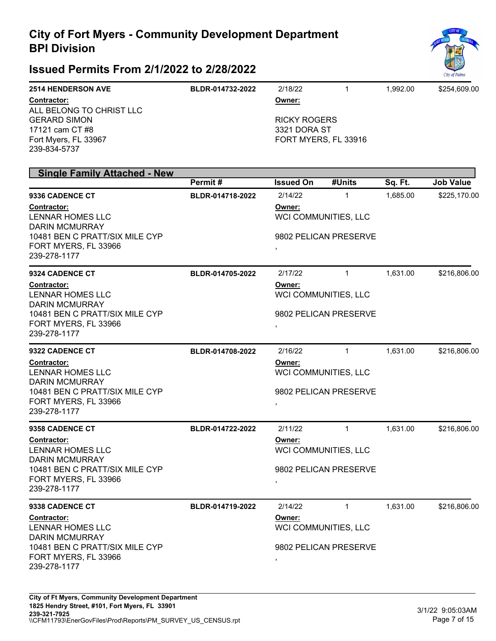

| <b>2514 HENDERSON AVE</b> | BLDR-014732-2022 | 2/18/22             |                      | 1.992.00 | \$254.609.00 |
|---------------------------|------------------|---------------------|----------------------|----------|--------------|
| <b>Contractor:</b>        |                  | Owner:              |                      |          |              |
| ALL BELONG TO CHRIST LLC  |                  |                     |                      |          |              |
| <b>GERARD SIMON</b>       |                  | <b>RICKY ROGERS</b> |                      |          |              |
| 17121 cam CT #8           |                  | 3321 DORA ST        |                      |          |              |
| Fort Myers, FL 33967      |                  |                     | FORT MYERS, FL 33916 |          |              |
| 239-834-5737              |                  |                     |                      |          |              |

| <b>Single Family Attached - New</b>                                         |                                |                                |                                      |                     |                  |
|-----------------------------------------------------------------------------|--------------------------------|--------------------------------|--------------------------------------|---------------------|------------------|
|                                                                             | Permit#                        | <b>Issued On</b>               | #Units                               | Sq. Ft.<br>1,685.00 | <b>Job Value</b> |
| 9336 CADENCE CT<br>Contractor:<br>LENNAR HOMES LLC<br><b>DARIN MCMURRAY</b> | BLDR-014718-2022               | 2/14/22<br>Owner:              | $\mathbf{1}$<br>WCI COMMUNITIES, LLC |                     | \$225,170.00     |
| 10481 BEN C PRATT/SIX MILE CYP<br>FORT MYERS, FL 33966<br>239-278-1177      |                                |                                | 9802 PELICAN PRESERVE                |                     |                  |
| 9324 CADENCE CT                                                             | BLDR-014705-2022               | 2/17/22                        | $\mathbf{1}$                         | 1,631.00            | \$216,806.00     |
| <b>Contractor:</b><br><b>LENNAR HOMES LLC</b><br><b>DARIN MCMURRAY</b>      | Owner:<br>WCI COMMUNITIES, LLC |                                |                                      |                     |                  |
| 10481 BEN C PRATT/SIX MILE CYP<br>FORT MYERS, FL 33966<br>239-278-1177      |                                |                                | 9802 PELICAN PRESERVE                |                     |                  |
| 9322 CADENCE CT                                                             | BLDR-014708-2022               | 2/16/22                        | $\mathbf{1}$                         | 1,631.00            | \$216,806.00     |
| Contractor:<br><b>LENNAR HOMES LLC</b><br><b>DARIN MCMURRAY</b>             | Owner:<br>WCI COMMUNITIES, LLC |                                |                                      |                     |                  |
| 10481 BEN C PRATT/SIX MILE CYP<br>FORT MYERS, FL 33966<br>239-278-1177      |                                |                                | 9802 PELICAN PRESERVE                |                     |                  |
| 9358 CADENCE CT                                                             | BLDR-014722-2022               | 2/11/22                        | $\mathbf{1}$                         | 1,631.00            | \$216,806.00     |
| Contractor:<br>LENNAR HOMES LLC<br><b>DARIN MCMURRAY</b>                    |                                | Owner:                         | WCI COMMUNITIES, LLC                 |                     |                  |
| 10481 BEN C PRATT/SIX MILE CYP<br>FORT MYERS, FL 33966<br>239-278-1177      |                                | ,                              | 9802 PELICAN PRESERVE                |                     |                  |
| 9338 CADENCE CT                                                             | BLDR-014719-2022               | 2/14/22                        | $\mathbf{1}$                         | 1,631.00            | \$216,806.00     |
| Contractor:<br>LENNAR HOMES LLC<br><b>DARIN MCMURRAY</b>                    |                                | Owner:<br>WCI COMMUNITIES, LLC |                                      |                     |                  |
| 10481 BEN C PRATT/SIX MILE CYP<br>FORT MYERS, FL 33966<br>239-278-1177      |                                |                                | 9802 PELICAN PRESERVE                |                     |                  |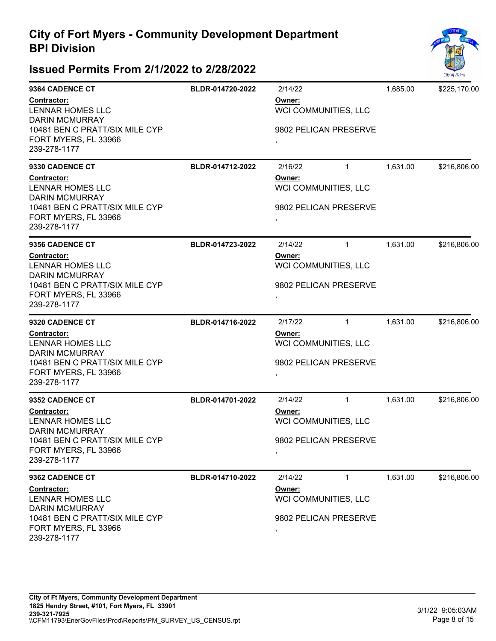

| 9364 CADENCE CT<br>Contractor:<br><b>LENNAR HOMES LLC</b><br><b>DARIN MCMURRAY</b>                                                                                  | BLDR-014720-2022 | 2/14/22<br>Owner:<br>WCI COMMUNITIES, LLC                                          | 1,685.00 | \$225,170.00 |
|---------------------------------------------------------------------------------------------------------------------------------------------------------------------|------------------|------------------------------------------------------------------------------------|----------|--------------|
| 10481 BEN C PRATT/SIX MILE CYP<br>FORT MYERS, FL 33966<br>239-278-1177                                                                                              |                  | 9802 PELICAN PRESERVE                                                              |          |              |
| 9330 CADENCE CT<br>Contractor:<br><b>LENNAR HOMES LLC</b><br><b>DARIN MCMURRAY</b><br>10481 BEN C PRATT/SIX MILE CYP<br>FORT MYERS, FL 33966<br>239-278-1177        | BLDR-014712-2022 | $\mathbf{1}$<br>2/16/22<br>Owner:<br>WCI COMMUNITIES, LLC<br>9802 PELICAN PRESERVE | 1,631.00 | \$216,806.00 |
| 9356 CADENCE CT<br>Contractor:<br><b>LENNAR HOMES LLC</b><br><b>DARIN MCMURRAY</b><br>10481 BEN C PRATT/SIX MILE CYP<br>FORT MYERS, FL 33966<br>239-278-1177        | BLDR-014723-2022 | 2/14/22<br>$\mathbf{1}$<br>Owner:<br>WCI COMMUNITIES, LLC<br>9802 PELICAN PRESERVE | 1,631.00 | \$216,806.00 |
| 9320 CADENCE CT<br>Contractor:<br><b>LENNAR HOMES LLC</b><br><b>DARIN MCMURRAY</b><br>10481 BEN C PRATT/SIX MILE CYP<br>FORT MYERS, FL 33966<br>239-278-1177        | BLDR-014716-2022 | 2/17/22<br>$\mathbf{1}$<br>Owner:<br>WCI COMMUNITIES, LLC<br>9802 PELICAN PRESERVE | 1,631.00 | \$216,806.00 |
| 9352 CADENCE CT<br><b>Contractor:</b><br><b>LENNAR HOMES LLC</b><br><b>DARIN MCMURRAY</b><br>10481 BEN C PRATT/SIX MILE CYP<br>FORT MYERS, FL 33966<br>239-278-1177 | BLDR-014701-2022 | 2/14/22<br>$\mathbf{1}$<br>Owner:<br>WCI COMMUNITIES, LLC<br>9802 PELICAN PRESERVE | 1,631.00 | \$216,806.00 |
| 9362 CADENCE CT<br><b>Contractor:</b><br><b>LENNAR HOMES LLC</b><br><b>DARIN MCMURRAY</b><br>10481 BEN C PRATT/SIX MILE CYP<br>FORT MYERS, FL 33966<br>239-278-1177 | BLDR-014710-2022 | 2/14/22<br>$\mathbf{1}$<br>Owner:<br>WCI COMMUNITIES, LLC<br>9802 PELICAN PRESERVE | 1,631.00 | \$216,806.00 |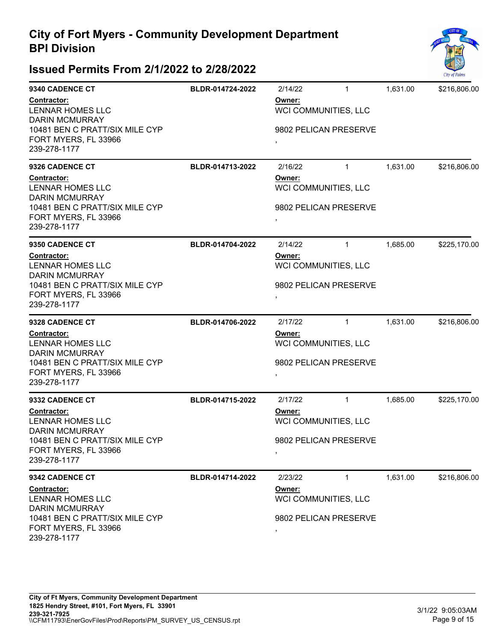

| 9340 CADENCE CT                                                                                                    | BLDR-014724-2022 | 2/14/22                        | $\mathbf{1}$                                  | 1,631.00 | \$216,806.00 |  |
|--------------------------------------------------------------------------------------------------------------------|------------------|--------------------------------|-----------------------------------------------|----------|--------------|--|
| Contractor:<br>LENNAR HOMES LLC<br><b>DARIN MCMURRAY</b><br>10481 BEN C PRATT/SIX MILE CYP<br>FORT MYERS, FL 33966 |                  | Owner:<br>$\,$                 | WCI COMMUNITIES, LLC<br>9802 PELICAN PRESERVE |          |              |  |
| 239-278-1177                                                                                                       |                  |                                |                                               |          |              |  |
| 9326 CADENCE CT                                                                                                    | BLDR-014713-2022 | 2/16/22                        | $\mathbf{1}$                                  | 1,631.00 | \$216,806.00 |  |
| Contractor:<br><b>LENNAR HOMES LLC</b><br><b>DARIN MCMURRAY</b>                                                    |                  | Owner:<br>WCI COMMUNITIES, LLC |                                               |          |              |  |
| 10481 BEN C PRATT/SIX MILE CYP<br>FORT MYERS, FL 33966<br>239-278-1177                                             |                  | $\,$                           | 9802 PELICAN PRESERVE                         |          |              |  |
| 9350 CADENCE CT                                                                                                    | BLDR-014704-2022 | 2/14/22                        | $\mathbf{1}$                                  | 1,685.00 | \$225,170.00 |  |
| Contractor:<br>LENNAR HOMES LLC<br><b>DARIN MCMURRAY</b>                                                           |                  | Owner:<br>WCI COMMUNITIES, LLC |                                               |          |              |  |
| 10481 BEN C PRATT/SIX MILE CYP<br>FORT MYERS, FL 33966<br>239-278-1177                                             |                  | $\,$                           | 9802 PELICAN PRESERVE                         |          |              |  |
| 9328 CADENCE CT                                                                                                    | BLDR-014706-2022 | 2/17/22                        | $\mathbf{1}$                                  | 1,631.00 | \$216,806.00 |  |
| Contractor:<br><b>LENNAR HOMES LLC</b><br><b>DARIN MCMURRAY</b>                                                    |                  | Owner:                         | WCI COMMUNITIES, LLC                          |          |              |  |
| 10481 BEN C PRATT/SIX MILE CYP<br>FORT MYERS, FL 33966<br>239-278-1177                                             |                  | $\,$                           | 9802 PELICAN PRESERVE                         |          |              |  |
| 9332 CADENCE CT                                                                                                    | BLDR-014715-2022 | 2/17/22                        | $\mathbf{1}$                                  | 1,685.00 | \$225,170.00 |  |
| <b>Contractor:</b><br>LENNAR HOMES LLC<br><b>DARIN MCMURRAY</b>                                                    |                  | Owner:                         | WCI COMMUNITIES, LLC                          |          |              |  |
| 10481 BEN C PRATT/SIX MILE CYP<br>FORT MYERS, FL 33966<br>239-278-1177                                             |                  | $\,$                           | 9802 PELICAN PRESERVE                         |          |              |  |
| 9342 CADENCE CT                                                                                                    | BLDR-014714-2022 | 2/23/22                        | $\mathbf{1}$                                  | 1,631.00 | \$216,806.00 |  |
| <b>Contractor:</b><br>LENNAR HOMES LLC<br><b>DARIN MCMURRAY</b>                                                    |                  | Owner:                         | WCI COMMUNITIES, LLC                          |          |              |  |
| 10481 BEN C PRATT/SIX MILE CYP<br>FORT MYERS, FL 33966<br>239-278-1177                                             |                  | $\,$                           | 9802 PELICAN PRESERVE                         |          |              |  |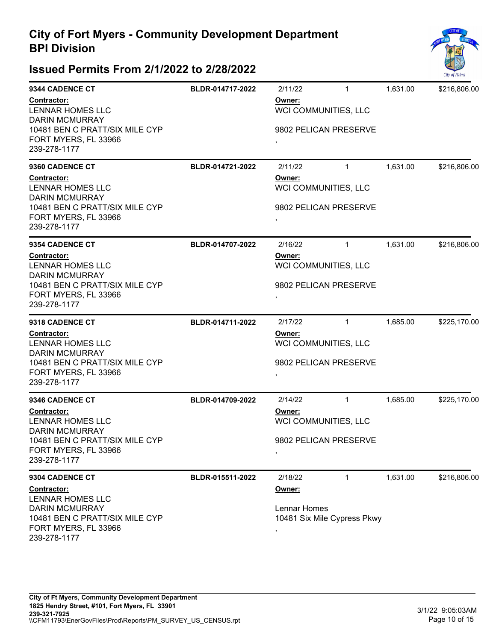

| BLDR-014717-2022 | 2/11/22                        | $\mathbf{1}$ | 1,631.00     | \$216,806.00                                                                                                                                                                                                                                             |
|------------------|--------------------------------|--------------|--------------|----------------------------------------------------------------------------------------------------------------------------------------------------------------------------------------------------------------------------------------------------------|
|                  | Owner:                         |              |              |                                                                                                                                                                                                                                                          |
|                  | $\,$                           |              |              |                                                                                                                                                                                                                                                          |
| BLDR-014721-2022 | 2/11/22                        | $\mathbf{1}$ | 1,631.00     | \$216,806.00                                                                                                                                                                                                                                             |
|                  | Owner:                         |              |              |                                                                                                                                                                                                                                                          |
|                  | $\,$                           |              |              |                                                                                                                                                                                                                                                          |
| BLDR-014707-2022 | 2/16/22                        | $\mathbf{1}$ | 1,631.00     | \$216,806.00                                                                                                                                                                                                                                             |
|                  | Owner:<br>WCI COMMUNITIES, LLC |              |              |                                                                                                                                                                                                                                                          |
|                  | $\,$                           |              |              |                                                                                                                                                                                                                                                          |
| BLDR-014711-2022 | 2/17/22                        | $\mathbf{1}$ | 1,685.00     | \$225,170.00                                                                                                                                                                                                                                             |
|                  | Owner:                         |              |              |                                                                                                                                                                                                                                                          |
|                  | $\,$                           |              |              |                                                                                                                                                                                                                                                          |
| BLDR-014709-2022 | 2/14/22                        | $\mathbf{1}$ | 1,685.00     | \$225,170.00                                                                                                                                                                                                                                             |
|                  | Owner:                         |              |              |                                                                                                                                                                                                                                                          |
|                  | $\,$                           |              |              |                                                                                                                                                                                                                                                          |
| BLDR-015511-2022 | 2/18/22                        | $\mathbf{1}$ | 1,631.00     | \$216,806.00                                                                                                                                                                                                                                             |
|                  | Owner:                         |              |              |                                                                                                                                                                                                                                                          |
|                  | $\,$                           |              |              |                                                                                                                                                                                                                                                          |
|                  |                                |              | Lennar Homes | WCI COMMUNITIES, LLC<br>9802 PELICAN PRESERVE<br>WCI COMMUNITIES, LLC<br>9802 PELICAN PRESERVE<br>9802 PELICAN PRESERVE<br>WCI COMMUNITIES, LLC<br>9802 PELICAN PRESERVE<br>WCI COMMUNITIES, LLC<br>9802 PELICAN PRESERVE<br>10481 Six Mile Cypress Pkwy |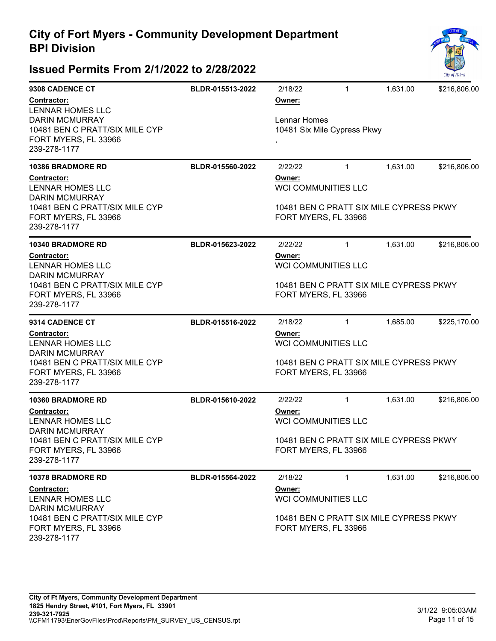

| 9308 CADENCE CT<br>Contractor:<br>LENNAR HOMES LLC                                              | BLDR-015513-2022 | 2/18/22<br>Owner:                                               | $\mathbf{1}$                                                    | 1,631.00                                | \$216,806.00 |  |
|-------------------------------------------------------------------------------------------------|------------------|-----------------------------------------------------------------|-----------------------------------------------------------------|-----------------------------------------|--------------|--|
| <b>DARIN MCMURRAY</b><br>10481 BEN C PRATT/SIX MILE CYP                                         |                  | Lennar Homes<br>10481 Six Mile Cypress Pkwy                     |                                                                 |                                         |              |  |
| FORT MYERS, FL 33966<br>239-278-1177                                                            |                  |                                                                 |                                                                 |                                         |              |  |
| <b>10386 BRADMORE RD</b>                                                                        | BLDR-015560-2022 | 2/22/22                                                         | $\mathbf{1}$                                                    | 1,631.00                                | \$216,806.00 |  |
| <b>Contractor:</b><br>LENNAR HOMES LLC<br><b>DARIN MCMURRAY</b>                                 |                  | Owner:<br><b>WCI COMMUNITIES LLC</b>                            |                                                                 |                                         |              |  |
| 10481 BEN C PRATT/SIX MILE CYP<br>FORT MYERS, FL 33966<br>239-278-1177                          |                  |                                                                 | 10481 BEN C PRATT SIX MILE CYPRESS PKWY<br>FORT MYERS, FL 33966 |                                         |              |  |
| <b>10340 BRADMORE RD</b>                                                                        | BLDR-015623-2022 | 2/22/22                                                         | $\mathbf{1}$                                                    | 1,631.00                                | \$216,806.00 |  |
| Contractor:<br><b>LENNAR HOMES LLC</b>                                                          |                  | Owner:<br><b>WCI COMMUNITIES LLC</b>                            |                                                                 |                                         |              |  |
| <b>DARIN MCMURRAY</b><br>10481 BEN C PRATT/SIX MILE CYP<br>FORT MYERS, FL 33966<br>239-278-1177 |                  | 10481 BEN C PRATT SIX MILE CYPRESS PKWY<br>FORT MYERS, FL 33966 |                                                                 |                                         |              |  |
| 9314 CADENCE CT                                                                                 | BLDR-015516-2022 | 2/18/22                                                         | $\mathbf{1}$                                                    | 1,685.00                                | \$225,170.00 |  |
| Contractor:<br><b>LENNAR HOMES LLC</b><br><b>DARIN MCMURRAY</b>                                 |                  | Owner:<br><b>WCI COMMUNITIES LLC</b>                            |                                                                 |                                         |              |  |
| 10481 BEN C PRATT/SIX MILE CYP<br>FORT MYERS, FL 33966<br>239-278-1177                          |                  | 10481 BEN C PRATT SIX MILE CYPRESS PKWY<br>FORT MYERS, FL 33966 |                                                                 |                                         |              |  |
| <b>10360 BRADMORE RD</b>                                                                        | BLDR-015610-2022 | 2/22/22                                                         | $\mathbf{1}$                                                    | 1,631.00                                | \$216,806.00 |  |
| <b>Contractor:</b><br>LENNAR HOMES LLC<br><b>DARIN MCMURRAY</b>                                 |                  | Owner:<br><b>WCI COMMUNITIES LLC</b>                            |                                                                 |                                         |              |  |
| 10481 BEN C PRATT/SIX MILE CYP<br>FORT MYERS, FL 33966<br>239-278-1177                          |                  | 10481 BEN C PRATT SIX MILE CYPRESS PKWY<br>FORT MYERS, FL 33966 |                                                                 |                                         |              |  |
| <b>10378 BRADMORE RD</b>                                                                        | BLDR-015564-2022 | 2/18/22                                                         | $\mathbf{1}$                                                    | 1,631.00                                | \$216,806.00 |  |
| <b>Contractor:</b><br>LENNAR HOMES LLC<br><b>DARIN MCMURRAY</b>                                 |                  | Owner:<br><b>WCI COMMUNITIES LLC</b>                            |                                                                 |                                         |              |  |
| 10481 BEN C PRATT/SIX MILE CYP<br>FORT MYERS, FL 33966<br>239-278-1177                          |                  | FORT MYERS, FL 33966                                            |                                                                 | 10481 BEN C PRATT SIX MILE CYPRESS PKWY |              |  |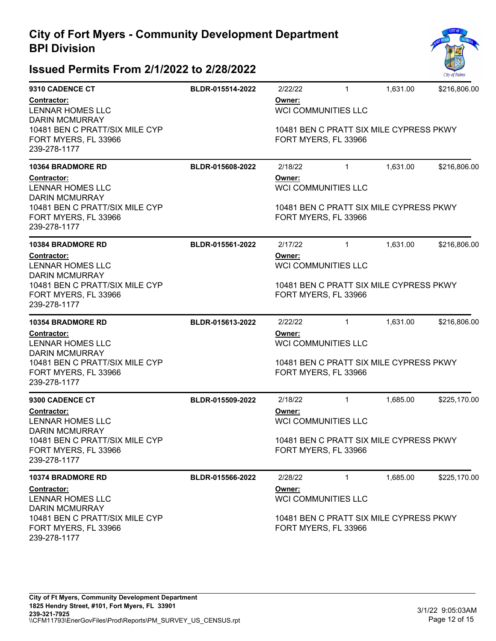

| 9310 CADENCE CT                                                        | BLDR-015514-2022 | 2/22/22                                                                                                 | $\mathbf{1}$ | 1,631.00 | \$216,806.00 |  |
|------------------------------------------------------------------------|------------------|---------------------------------------------------------------------------------------------------------|--------------|----------|--------------|--|
| Contractor:<br><b>LENNAR HOMES LLC</b><br><b>DARIN MCMURRAY</b>        |                  | Owner:<br><b>WCI COMMUNITIES LLC</b>                                                                    |              |          |              |  |
| 10481 BEN C PRATT/SIX MILE CYP<br>FORT MYERS, FL 33966<br>239-278-1177 |                  | 10481 BEN C PRATT SIX MILE CYPRESS PKWY<br>FORT MYERS, FL 33966                                         |              |          |              |  |
| <b>10364 BRADMORE RD</b>                                               | BLDR-015608-2022 | 2/18/22                                                                                                 | $\mathbf{1}$ | 1,631.00 | \$216,806.00 |  |
| <b>Contractor:</b><br><b>LENNAR HOMES LLC</b><br><b>DARIN MCMURRAY</b> |                  | Owner:<br><b>WCI COMMUNITIES LLC</b>                                                                    |              |          |              |  |
| 10481 BEN C PRATT/SIX MILE CYP<br>FORT MYERS, FL 33966<br>239-278-1177 |                  | 10481 BEN C PRATT SIX MILE CYPRESS PKWY<br>FORT MYERS, FL 33966                                         |              |          |              |  |
| <b>10384 BRADMORE RD</b>                                               | BLDR-015561-2022 | 2/17/22                                                                                                 | $\mathbf{1}$ | 1,631.00 | \$216,806.00 |  |
| <b>Contractor:</b><br><b>LENNAR HOMES LLC</b><br><b>DARIN MCMURRAY</b> |                  | Owner:<br><b>WCI COMMUNITIES LLC</b>                                                                    |              |          |              |  |
| 10481 BEN C PRATT/SIX MILE CYP<br>FORT MYERS, FL 33966<br>239-278-1177 |                  | 10481 BEN C PRATT SIX MILE CYPRESS PKWY<br>FORT MYERS, FL 33966                                         |              |          |              |  |
| <b>10354 BRADMORE RD</b>                                               | BLDR-015613-2022 | 2/22/22                                                                                                 | $\mathbf{1}$ | 1,631.00 | \$216,806.00 |  |
| <b>Contractor:</b><br><b>LENNAR HOMES LLC</b><br><b>DARIN MCMURRAY</b> |                  | Owner:<br><b>WCI COMMUNITIES LLC</b>                                                                    |              |          |              |  |
| 10481 BEN C PRATT/SIX MILE CYP<br>FORT MYERS, FL 33966<br>239-278-1177 |                  | 10481 BEN C PRATT SIX MILE CYPRESS PKWY<br>FORT MYERS, FL 33966                                         |              |          |              |  |
| 9300 CADENCE CT                                                        | BLDR-015509-2022 | 2/18/22                                                                                                 | $\mathbf{1}$ | 1,685.00 | \$225,170.00 |  |
| <b>Contractor:</b><br>LENNAR HOMES LLC<br><b>DARIN MCMURRAY</b>        |                  | Owner:<br><b>WCI COMMUNITIES LLC</b>                                                                    |              |          |              |  |
| 10481 BEN C PRATT/SIX MILE CYP<br>FORT MYERS, FL 33966<br>239-278-1177 |                  | 10481 BEN C PRATT SIX MILE CYPRESS PKWY<br>FORT MYERS, FL 33966                                         |              |          |              |  |
| <b>10374 BRADMORE RD</b>                                               | BLDR-015566-2022 | 2/28/22                                                                                                 | $\mathbf{1}$ | 1,685.00 | \$225,170.00 |  |
| <b>Contractor:</b><br><b>LENNAR HOMES LLC</b><br><b>DARIN MCMURRAY</b> |                  | Owner:<br><b>WCI COMMUNITIES LLC</b><br>10481 BEN C PRATT SIX MILE CYPRESS PKWY<br>FORT MYERS, FL 33966 |              |          |              |  |
| 10481 BEN C PRATT/SIX MILE CYP<br>FORT MYERS, FL 33966<br>239-278-1177 |                  |                                                                                                         |              |          |              |  |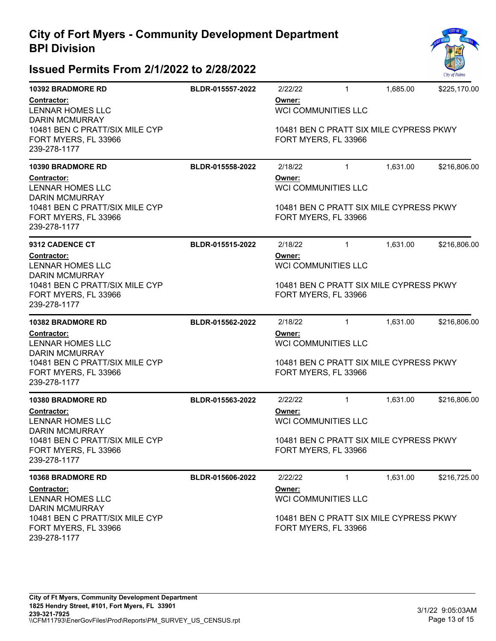

| <b>10392 BRADMORE RD</b>                                               | BLDR-015557-2022 | 2/22/22                                                                                                 | $\mathbf{1}$ | 1,685.00 | \$225,170.00 |  |
|------------------------------------------------------------------------|------------------|---------------------------------------------------------------------------------------------------------|--------------|----------|--------------|--|
| Contractor:<br>LENNAR HOMES LLC<br><b>DARIN MCMURRAY</b>               |                  | Owner:<br><b>WCI COMMUNITIES LLC</b>                                                                    |              |          |              |  |
| 10481 BEN C PRATT/SIX MILE CYP<br>FORT MYERS, FL 33966<br>239-278-1177 |                  | 10481 BEN C PRATT SIX MILE CYPRESS PKWY<br>FORT MYERS, FL 33966                                         |              |          |              |  |
| <b>10390 BRADMORE RD</b>                                               | BLDR-015558-2022 | 2/18/22                                                                                                 | $\mathbf{1}$ | 1,631.00 | \$216,806.00 |  |
| Contractor:<br>LENNAR HOMES LLC<br><b>DARIN MCMURRAY</b>               |                  | Owner:<br><b>WCI COMMUNITIES LLC</b>                                                                    |              |          |              |  |
| 10481 BEN C PRATT/SIX MILE CYP<br>FORT MYERS, FL 33966<br>239-278-1177 |                  | 10481 BEN C PRATT SIX MILE CYPRESS PKWY<br>FORT MYERS, FL 33966                                         |              |          |              |  |
| <b>9312 CADENCE CT</b>                                                 | BLDR-015515-2022 | 2/18/22                                                                                                 | $\mathbf{1}$ | 1,631.00 | \$216,806.00 |  |
| Contractor:<br>LENNAR HOMES LLC<br><b>DARIN MCMURRAY</b>               |                  | Owner:<br><b>WCI COMMUNITIES LLC</b>                                                                    |              |          |              |  |
| 10481 BEN C PRATT/SIX MILE CYP<br>FORT MYERS, FL 33966<br>239-278-1177 |                  | 10481 BEN C PRATT SIX MILE CYPRESS PKWY<br>FORT MYERS, FL 33966                                         |              |          |              |  |
| <b>10382 BRADMORE RD</b>                                               | BLDR-015562-2022 | 2/18/22                                                                                                 | $\mathbf{1}$ | 1,631.00 | \$216,806.00 |  |
| Contractor:<br><b>LENNAR HOMES LLC</b><br><b>DARIN MCMURRAY</b>        |                  | Owner:<br><b>WCI COMMUNITIES LLC</b>                                                                    |              |          |              |  |
| 10481 BEN C PRATT/SIX MILE CYP<br>FORT MYERS, FL 33966<br>239-278-1177 |                  | 10481 BEN C PRATT SIX MILE CYPRESS PKWY<br>FORT MYERS, FL 33966                                         |              |          |              |  |
| <b>10380 BRADMORE RD</b>                                               | BLDR-015563-2022 | 2/22/22                                                                                                 | $\mathbf{1}$ | 1,631.00 | \$216,806.00 |  |
| <b>Contractor:</b><br><b>LENNAR HOMES LLC</b><br><b>DARIN MCMURRAY</b> |                  | Owner:<br><b>WCI COMMUNITIES LLC</b>                                                                    |              |          |              |  |
| 10481 BEN C PRATT/SIX MILE CYP<br>FORT MYERS, FL 33966<br>239-278-1177 |                  | 10481 BEN C PRATT SIX MILE CYPRESS PKWY<br>FORT MYERS, FL 33966                                         |              |          |              |  |
| <b>10368 BRADMORE RD</b>                                               | BLDR-015606-2022 | 2/22/22                                                                                                 | $\mathbf{1}$ | 1,631.00 | \$216,725.00 |  |
| Contractor:<br>LENNAR HOMES LLC<br><b>DARIN MCMURRAY</b>               |                  | Owner:<br><b>WCI COMMUNITIES LLC</b><br>10481 BEN C PRATT SIX MILE CYPRESS PKWY<br>FORT MYERS, FL 33966 |              |          |              |  |
| 10481 BEN C PRATT/SIX MILE CYP<br>FORT MYERS, FL 33966<br>239-278-1177 |                  |                                                                                                         |              |          |              |  |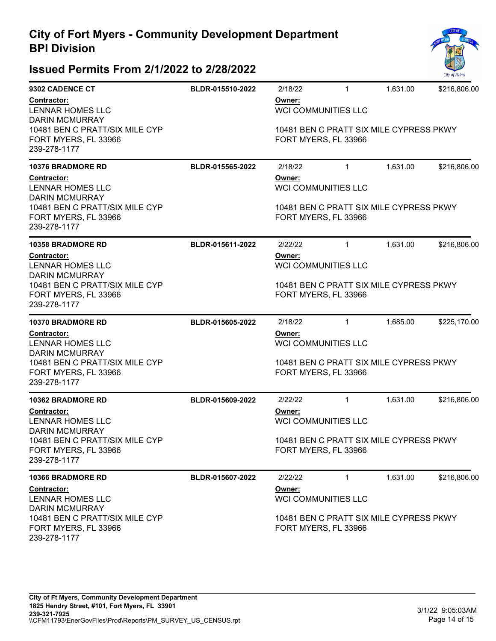

| 9302 CADENCE CT                                                                                 | BLDR-015510-2022 | 2/18/22                                                                                                 | $\mathbf{1}$               | 1,631.00 | \$216,806.00 |  |
|-------------------------------------------------------------------------------------------------|------------------|---------------------------------------------------------------------------------------------------------|----------------------------|----------|--------------|--|
| Contractor:<br>LENNAR HOMES LLC                                                                 |                  | Owner:<br><b>WCI COMMUNITIES LLC</b>                                                                    |                            |          |              |  |
| <b>DARIN MCMURRAY</b><br>10481 BEN C PRATT/SIX MILE CYP<br>FORT MYERS, FL 33966<br>239-278-1177 |                  | 10481 BEN C PRATT SIX MILE CYPRESS PKWY<br>FORT MYERS, FL 33966                                         |                            |          |              |  |
| <b>10376 BRADMORE RD</b>                                                                        | BLDR-015565-2022 | 2/18/22                                                                                                 | $\mathbf{1}$               | 1,631.00 | \$216,806.00 |  |
| Contractor:<br>LENNAR HOMES LLC<br><b>DARIN MCMURRAY</b>                                        |                  | Owner:<br>WCI COMMUNITIES LLC                                                                           |                            |          |              |  |
| 10481 BEN C PRATT/SIX MILE CYP<br>FORT MYERS, FL 33966<br>239-278-1177                          |                  | 10481 BEN C PRATT SIX MILE CYPRESS PKWY<br>FORT MYERS, FL 33966                                         |                            |          |              |  |
| <b>10358 BRADMORE RD</b>                                                                        | BLDR-015611-2022 | 2/22/22                                                                                                 | $\mathbf{1}$               | 1,631.00 | \$216,806.00 |  |
| <b>Contractor:</b><br>LENNAR HOMES LLC<br><b>DARIN MCMURRAY</b>                                 |                  | Owner:<br>WCI COMMUNITIES LLC                                                                           |                            |          |              |  |
| 10481 BEN C PRATT/SIX MILE CYP<br>FORT MYERS, FL 33966<br>239-278-1177                          |                  | 10481 BEN C PRATT SIX MILE CYPRESS PKWY<br>FORT MYERS, FL 33966                                         |                            |          |              |  |
| <b>10370 BRADMORE RD</b>                                                                        | BLDR-015605-2022 | 2/18/22                                                                                                 | $\mathbf{1}$               | 1,685.00 | \$225,170.00 |  |
| <b>Contractor:</b><br>LENNAR HOMES LLC<br><b>DARIN MCMURRAY</b>                                 |                  | Owner:                                                                                                  | <b>WCI COMMUNITIES LLC</b> |          |              |  |
| 10481 BEN C PRATT/SIX MILE CYP<br>FORT MYERS, FL 33966<br>239-278-1177                          |                  | 10481 BEN C PRATT SIX MILE CYPRESS PKWY<br>FORT MYERS, FL 33966                                         |                            |          |              |  |
| <b>10362 BRADMORE RD</b>                                                                        | BLDR-015609-2022 | 2/22/22                                                                                                 | $\mathbf{1}$               | 1,631.00 | \$216,806.00 |  |
| <b>Contractor:</b><br>LENNAR HOMES LLC<br><b>DARIN MCMURRAY</b>                                 |                  | Owner:<br><b>WCI COMMUNITIES LLC</b>                                                                    |                            |          |              |  |
| 10481 BEN C PRATT/SIX MILE CYP<br>FORT MYERS, FL 33966<br>239-278-1177                          |                  | 10481 BEN C PRATT SIX MILE CYPRESS PKWY<br>FORT MYERS, FL 33966                                         |                            |          |              |  |
| <b>10366 BRADMORE RD</b>                                                                        | BLDR-015607-2022 | 2/22/22                                                                                                 | 1                          | 1,631.00 | \$216,806.00 |  |
| <b>Contractor:</b><br><b>LENNAR HOMES LLC</b><br><b>DARIN MCMURRAY</b>                          |                  | Owner:<br><b>WCI COMMUNITIES LLC</b><br>10481 BEN C PRATT SIX MILE CYPRESS PKWY<br>FORT MYERS, FL 33966 |                            |          |              |  |
| 10481 BEN C PRATT/SIX MILE CYP<br>FORT MYERS, FL 33966<br>239-278-1177                          |                  |                                                                                                         |                            |          |              |  |